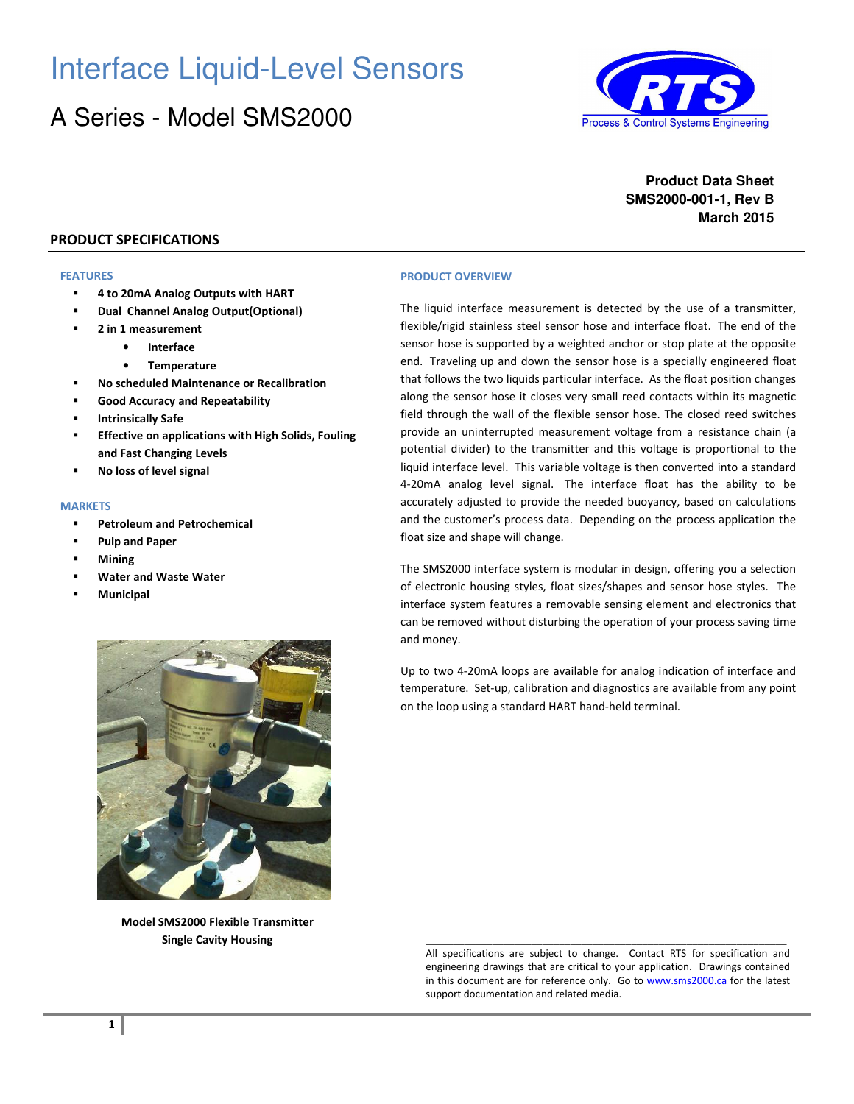# Interface Liquid-Level Sensors

## A Series - Model SMS2000



**Product Data Sheet SMS2000-001-1, Rev B March 2015**

#### **PRODUCT SPECIFICATIONS**

#### **FEATURES**

- **4 to 20mA Analog Outputs with HART**
- **Dual Channel Analog Output(Optional)**
- **2 in 1 measurement** 
	- **Interface** 
		- **Temperature**
- **No scheduled Maintenance or Recalibration**
- **Good Accuracy and Repeatability**
- **Intrinsically Safe**
- **Effective on applications with High Solids, Fouling and Fast Changing Levels**
- **No loss of level signal**

#### **MARKETS**

- **Petroleum and Petrochemical**
- **Pulp and Paper**
- **Mining**
- **Water and Waste Water**
- **Municipal**



**Model SMS2000 Flexible Transmitter Single Cavity Housing** 

#### **PRODUCT OVERVIEW**

The liquid interface measurement is detected by the use of a transmitter, flexible/rigid stainless steel sensor hose and interface float. The end of the sensor hose is supported by a weighted anchor or stop plate at the opposite end. Traveling up and down the sensor hose is a specially engineered float that follows the two liquids particular interface. As the float position changes along the sensor hose it closes very small reed contacts within its magnetic field through the wall of the flexible sensor hose. The closed reed switches provide an uninterrupted measurement voltage from a resistance chain (a potential divider) to the transmitter and this voltage is proportional to the liquid interface level. This variable voltage is then converted into a standard 4-20mA analog level signal. The interface float has the ability to be accurately adjusted to provide the needed buoyancy, based on calculations and the customer's process data. Depending on the process application the float size and shape will change.

The SMS2000 interface system is modular in design, offering you a selection of electronic housing styles, float sizes/shapes and sensor hose styles. The interface system features a removable sensing element and electronics that can be removed without disturbing the operation of your process saving time and money.

Up to two 4-20mA loops are available for analog indication of interface and temperature. Set-up, calibration and diagnostics are available from any point on the loop using a standard HART hand-held terminal.

All specifications are subject to change. Contact RTS for specification and engineering drawings that are critical to your application. Drawings contained in this document are for reference only. Go to www.sms2000.ca for the latest support documentation and related media.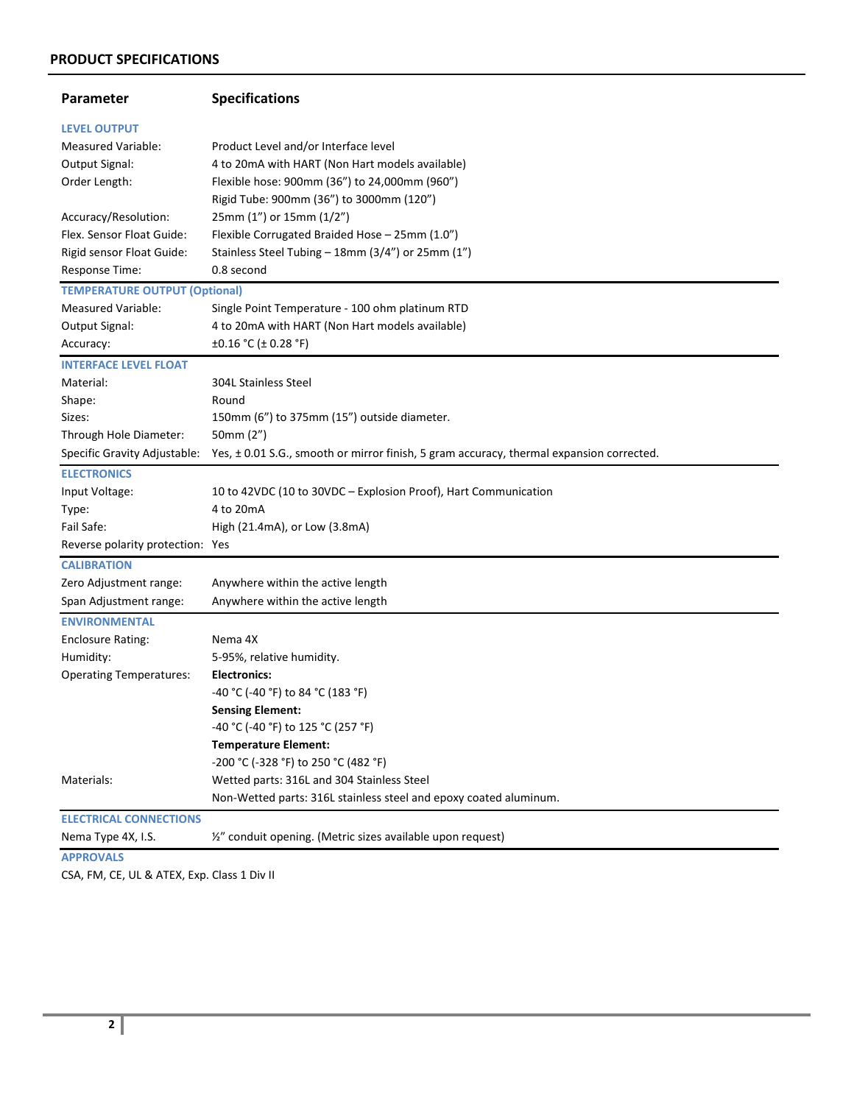## **PRODUCT SPECIFICATIONS**

| Parameter                            | <b>Specifications</b>                                                                    |
|--------------------------------------|------------------------------------------------------------------------------------------|
| <b>LEVEL OUTPUT</b>                  |                                                                                          |
| Measured Variable:                   | Product Level and/or Interface level                                                     |
| Output Signal:                       | 4 to 20mA with HART (Non Hart models available)                                          |
| Order Length:                        | Flexible hose: 900mm (36") to 24,000mm (960")                                            |
|                                      | Rigid Tube: 900mm (36") to 3000mm (120")                                                 |
| Accuracy/Resolution:                 | 25mm (1") or 15mm (1/2")                                                                 |
| Flex. Sensor Float Guide:            | Flexible Corrugated Braided Hose - 25mm (1.0")                                           |
| Rigid sensor Float Guide:            | Stainless Steel Tubing - 18mm (3/4") or 25mm (1")                                        |
| Response Time:                       | 0.8 second                                                                               |
| <b>TEMPERATURE OUTPUT (Optional)</b> |                                                                                          |
| <b>Measured Variable:</b>            | Single Point Temperature - 100 ohm platinum RTD                                          |
| Output Signal:                       | 4 to 20mA with HART (Non Hart models available)                                          |
| Accuracy:                            | $\pm 0.16$ °C ( $\pm$ 0.28 °F)                                                           |
| <b>INTERFACE LEVEL FLOAT</b>         |                                                                                          |
| Material:                            | 304L Stainless Steel                                                                     |
| Shape:                               | Round                                                                                    |
| Sizes:                               | 150mm (6") to 375mm (15") outside diameter.                                              |
| Through Hole Diameter:               | 50mm (2")                                                                                |
| Specific Gravity Adjustable:         | Yes, ± 0.01 S.G., smooth or mirror finish, 5 gram accuracy, thermal expansion corrected. |
| <b>ELECTRONICS</b>                   |                                                                                          |
| Input Voltage:                       | 10 to 42VDC (10 to 30VDC - Explosion Proof), Hart Communication                          |
| Type:                                | 4 to 20mA                                                                                |
| Fail Safe:                           | High (21.4mA), or Low (3.8mA)                                                            |
| Reverse polarity protection: Yes     |                                                                                          |
| <b>CALIBRATION</b>                   |                                                                                          |
| Zero Adjustment range:               | Anywhere within the active length                                                        |
| Span Adjustment range:               | Anywhere within the active length                                                        |
| <b>ENVIRONMENTAL</b>                 |                                                                                          |
| <b>Enclosure Rating:</b>             | Nema 4X                                                                                  |
| Humidity:                            | 5-95%, relative humidity.                                                                |
| <b>Operating Temperatures:</b>       | Electronics:                                                                             |
|                                      | -40 °C (-40 °F) to 84 °C (183 °F)                                                        |
|                                      | <b>Sensing Element:</b>                                                                  |
|                                      | -40 °C (-40 °F) to 125 °C (257 °F)                                                       |
|                                      | <b>Temperature Element:</b>                                                              |
|                                      | -200 °C (-328 °F) to 250 °C (482 °F)                                                     |
| Materials:                           | Wetted parts: 316L and 304 Stainless Steel                                               |
|                                      | Non-Wetted parts: 316L stainless steel and epoxy coated aluminum.                        |
| <b>ELECTRICAL CONNECTIONS</b>        |                                                                                          |
| Nema Type 4X, I.S.                   | 1/2" conduit opening. (Metric sizes available upon request)                              |
| <b>APPROVALS</b>                     |                                                                                          |

CSA, FM, CE, UL & ATEX, Exp. Class 1 Div II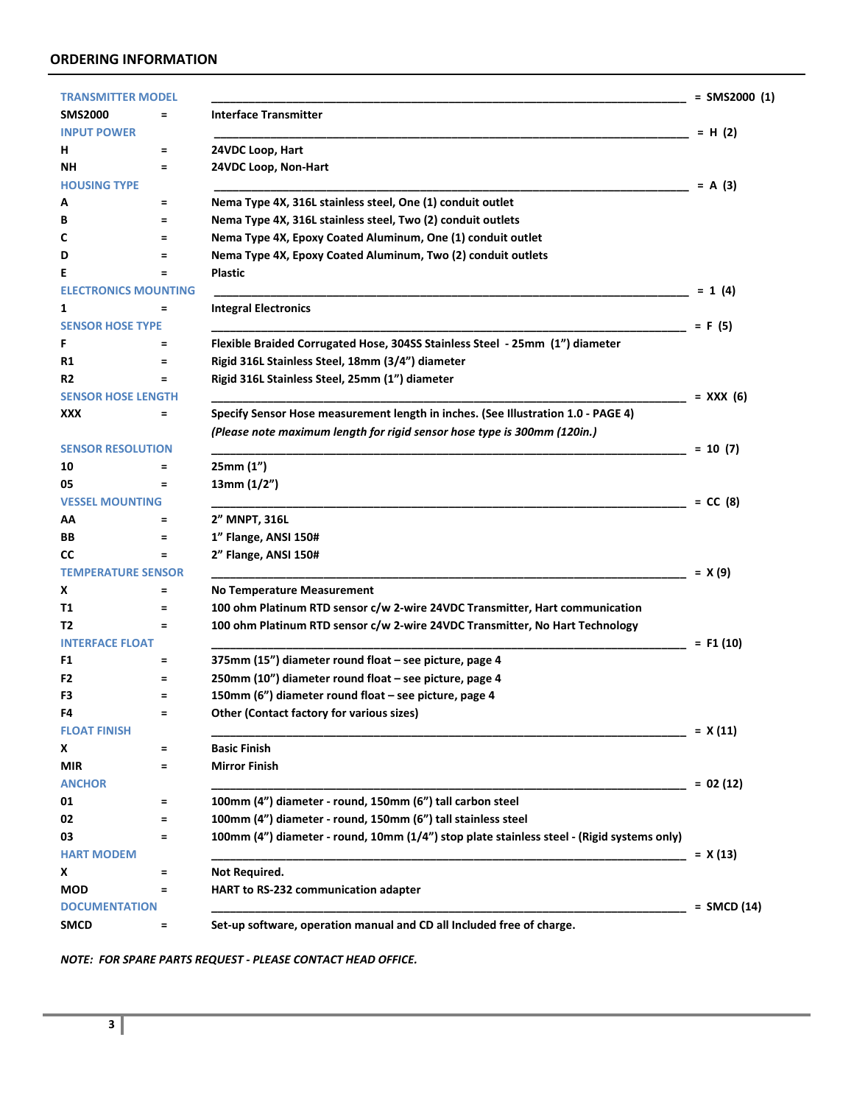#### **ORDERING INFORMATION**

| <b>TRANSMITTER MODEL</b>    |          |                                                                                            | $=$ SMS2000 (1) |
|-----------------------------|----------|--------------------------------------------------------------------------------------------|-----------------|
| <b>SMS2000</b>              | =        | <b>Interface Transmitter</b>                                                               |                 |
| <b>INPUT POWER</b>          |          |                                                                                            | $= H(2)$        |
| н                           | Ξ        | 24VDC Loop, Hart                                                                           |                 |
| NΗ                          | Ξ        | 24VDC Loop, Non-Hart                                                                       |                 |
| <b>HOUSING TYPE</b>         |          |                                                                                            | $= A(3)$        |
| А                           | Ξ        | Nema Type 4X, 316L stainless steel, One (1) conduit outlet                                 |                 |
| В                           | =        | Nema Type 4X, 316L stainless steel, Two (2) conduit outlets                                |                 |
| c                           | $\equiv$ | Nema Type 4X, Epoxy Coated Aluminum, One (1) conduit outlet                                |                 |
| D                           | =        | Nema Type 4X, Epoxy Coated Aluminum, Two (2) conduit outlets                               |                 |
| Ε                           | Ξ        | Plastic                                                                                    |                 |
| <b>ELECTRONICS MOUNTING</b> |          |                                                                                            | $= 1(4)$        |
| 1                           | Ξ        | <b>Integral Electronics</b>                                                                |                 |
| <b>SENSOR HOSE TYPE</b>     |          |                                                                                            | $= F(5)$        |
| F                           | Ξ        | Flexible Braided Corrugated Hose, 304SS Stainless Steel - 25mm (1") diameter               |                 |
| R1                          | =        | Rigid 316L Stainless Steel, 18mm (3/4") diameter                                           |                 |
| R <sub>2</sub>              | =        | Rigid 316L Stainless Steel, 25mm (1") diameter                                             |                 |
| <b>SENSOR HOSE LENGTH</b>   |          |                                                                                            | = XXX (6)       |
| XXX                         | $=$      | Specify Sensor Hose measurement length in inches. (See Illustration 1.0 - PAGE 4)          |                 |
|                             |          | (Please note maximum length for rigid sensor hose type is 300mm (120in.)                   |                 |
| <b>SENSOR RESOLUTION</b>    |          |                                                                                            | $= 10(7)$       |
| 10                          | Ξ        | 25mm (1")                                                                                  |                 |
| 05                          | $=$      | 13mm(1/2")                                                                                 |                 |
| <b>VESSEL MOUNTING</b>      |          |                                                                                            | $= CC(8)$       |
| ΑА                          | =        | 2" MNPT, 316L                                                                              |                 |
| BB                          | $\equiv$ | 1" Flange, ANSI 150#                                                                       |                 |
| <b>CC</b>                   | =        | 2" Flange, ANSI 150#                                                                       |                 |
| <b>TEMPERATURE SENSOR</b>   |          |                                                                                            | $= X(9)$        |
| X                           | =        | <b>No Temperature Measurement</b>                                                          |                 |
| Τ1                          | $=$      | 100 ohm Platinum RTD sensor c/w 2-wire 24VDC Transmitter, Hart communication               |                 |
| T2                          | $=$      | 100 ohm Platinum RTD sensor c/w 2-wire 24VDC Transmitter, No Hart Technology               |                 |
| <b>INTERFACE FLOAT</b>      |          |                                                                                            | $=$ F1 (10)     |
| F1                          | =        | 375mm (15") diameter round float - see picture, page 4                                     |                 |
| F2                          | =        | 250mm (10") diameter round float - see picture, page 4                                     |                 |
| F3                          | $=$      | 150mm (6") diameter round float - see picture, page 4                                      |                 |
| 64                          |          | Other (Contact factory for various sizes)                                                  |                 |
| <b>FLOAT FINISH</b>         |          |                                                                                            | $= X(11)$       |
| X                           | $=$      | <b>Basic Finish</b>                                                                        |                 |
| <b>MIR</b>                  | $=$      | <b>Mirror Finish</b>                                                                       |                 |
| <b>ANCHOR</b>               |          |                                                                                            | $= 02(12)$      |
| 01                          | Ξ        | 100mm (4") diameter - round, 150mm (6") tall carbon steel                                  |                 |
| 02                          | $=$      | 100mm (4") diameter - round, 150mm (6") tall stainless steel                               |                 |
| 03                          | $=$      | 100mm (4") diameter - round, 10mm (1/4") stop plate stainless steel - (Rigid systems only) |                 |
| <b>HART MODEM</b>           |          |                                                                                            | $= X(13)$       |
| X                           | Ξ        | Not Required.                                                                              |                 |
| <b>MOD</b>                  | Ξ        | HART to RS-232 communication adapter                                                       |                 |
| <b>DOCUMENTATION</b>        |          |                                                                                            | $=$ SMCD (14)   |
| <b>SMCD</b>                 | Ξ        | Set-up software, operation manual and CD all Included free of charge.                      |                 |

*NOTE: FOR SPARE PARTS REQUEST - PLEASE CONTACT HEAD OFFICE.*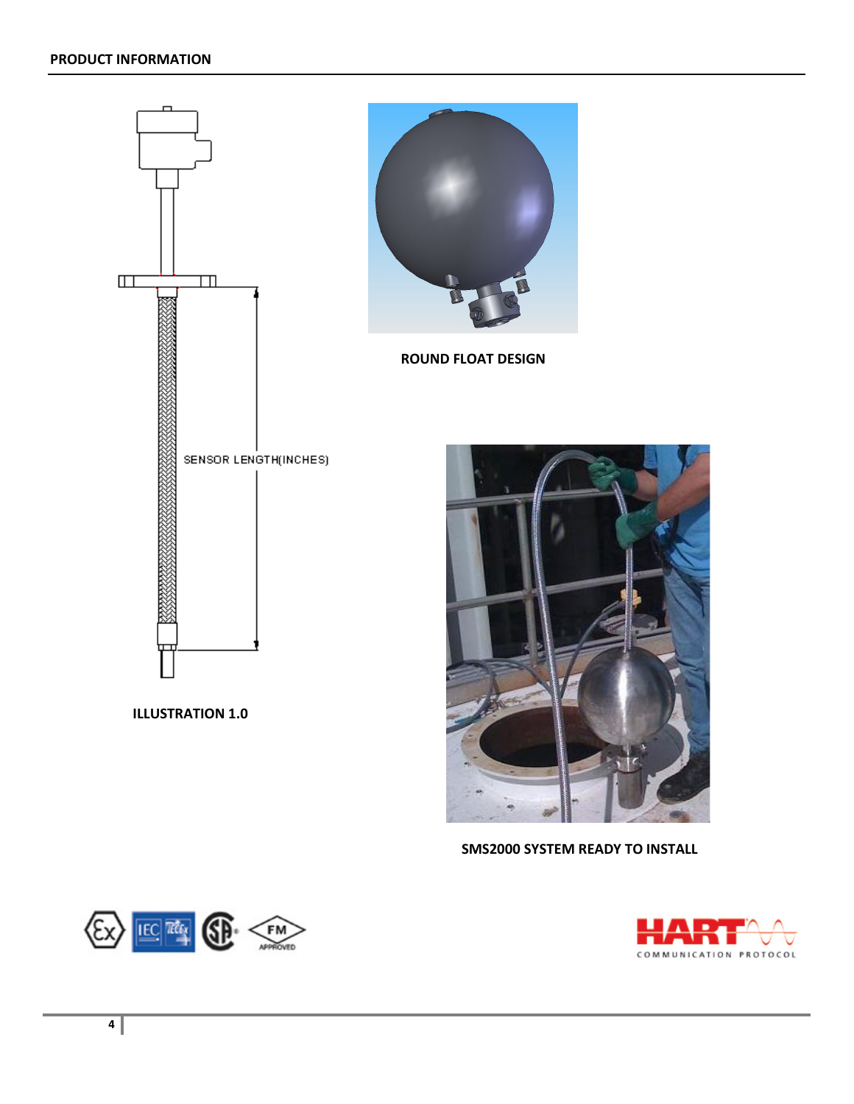

## **SMS2000 SYSTEM READY TO INSTALL**